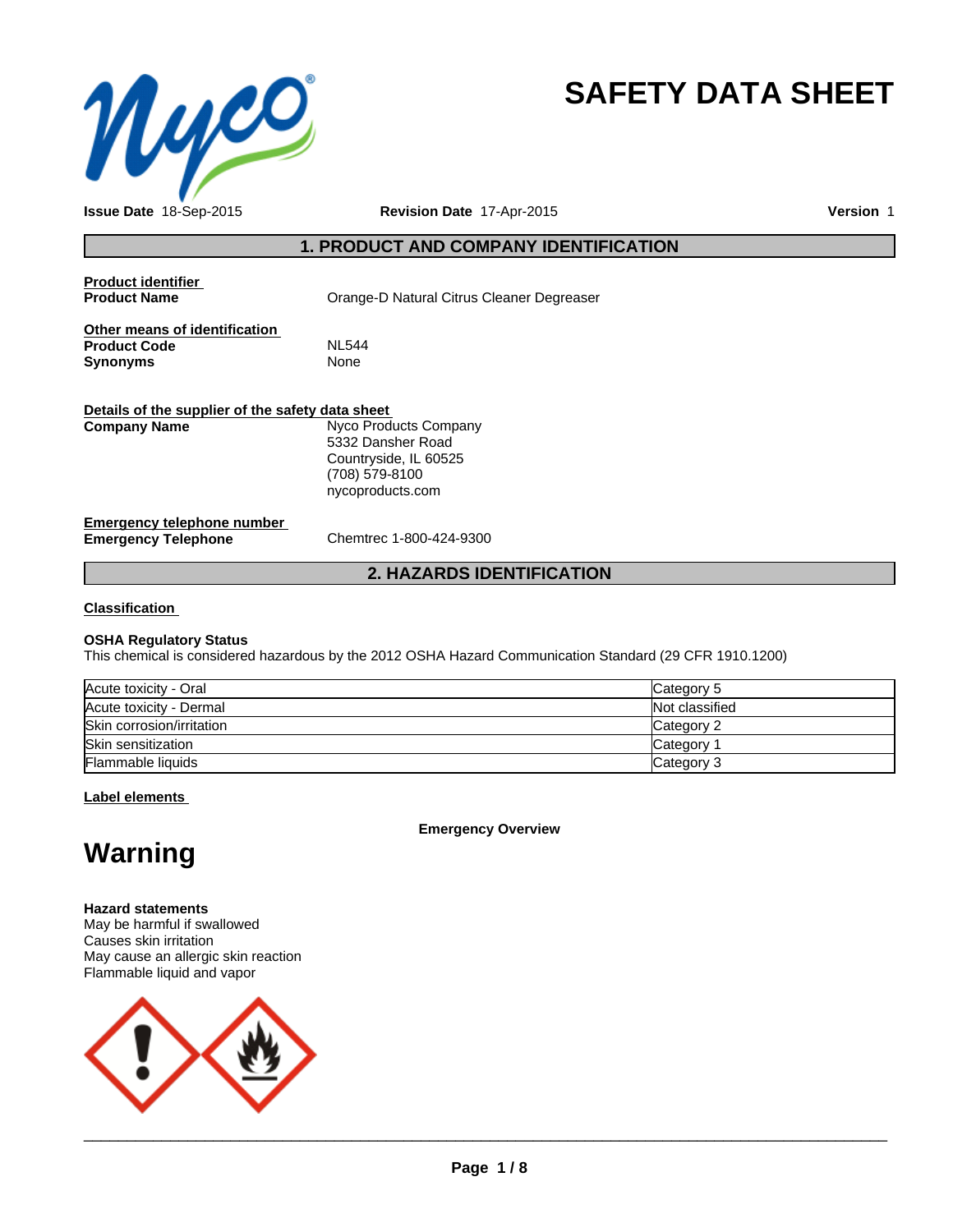

# **SAFETY DATA SHEET**

**Issue Date** 18-Sep-2015

**Revision Date** 17-Apr-2015

**Version** 1

### **1. PRODUCT AND COMPANY IDENTIFICATION**

| <b>Product identifier</b><br><b>Product Name</b>                        | Orange-D Natural Citrus Cleaner Degreaser                                                                 |
|-------------------------------------------------------------------------|-----------------------------------------------------------------------------------------------------------|
| Other means of identification<br><b>Product Code</b><br><b>Synonyms</b> | <b>NL544</b><br>None                                                                                      |
| Details of the supplier of the safety data sheet                        |                                                                                                           |
| <b>Company Name</b>                                                     | Nyco Products Company<br>5332 Dansher Road<br>Countryside, IL 60525<br>(708) 579-8100<br>nycoproducts.com |
| Emergency telephone number<br><b>Emergency Telephone</b>                | Chemtrec 1-800-424-9300                                                                                   |
|                                                                         | <b>2. HAZARDS IDENTIFICATION</b>                                                                          |

### **Classification**

### **OSHA Regulatory Status**

This chemical is considered hazardous by the 2012 OSHA Hazard Communication Standard (29 CFR 1910.1200)

| Acute toxicity - Oral     | Category 5     |
|---------------------------|----------------|
| Acute toxicity - Dermal   | Not classified |
| Skin corrosion/irritation | Category 2     |
| Skin sensitization        | Category       |
| Flammable liquids         | Category 3     |

### **Label elements**

**Emergency Overview**

## **Warning**

### **Hazard statements**

May be harmful if swallowed Causes skin irritation May cause an allergic skin reaction Flammable liquid and vapor



 $\overline{\phantom{a}}$  ,  $\overline{\phantom{a}}$  ,  $\overline{\phantom{a}}$  ,  $\overline{\phantom{a}}$  ,  $\overline{\phantom{a}}$  ,  $\overline{\phantom{a}}$  ,  $\overline{\phantom{a}}$  ,  $\overline{\phantom{a}}$  ,  $\overline{\phantom{a}}$  ,  $\overline{\phantom{a}}$  ,  $\overline{\phantom{a}}$  ,  $\overline{\phantom{a}}$  ,  $\overline{\phantom{a}}$  ,  $\overline{\phantom{a}}$  ,  $\overline{\phantom{a}}$  ,  $\overline{\phantom{a}}$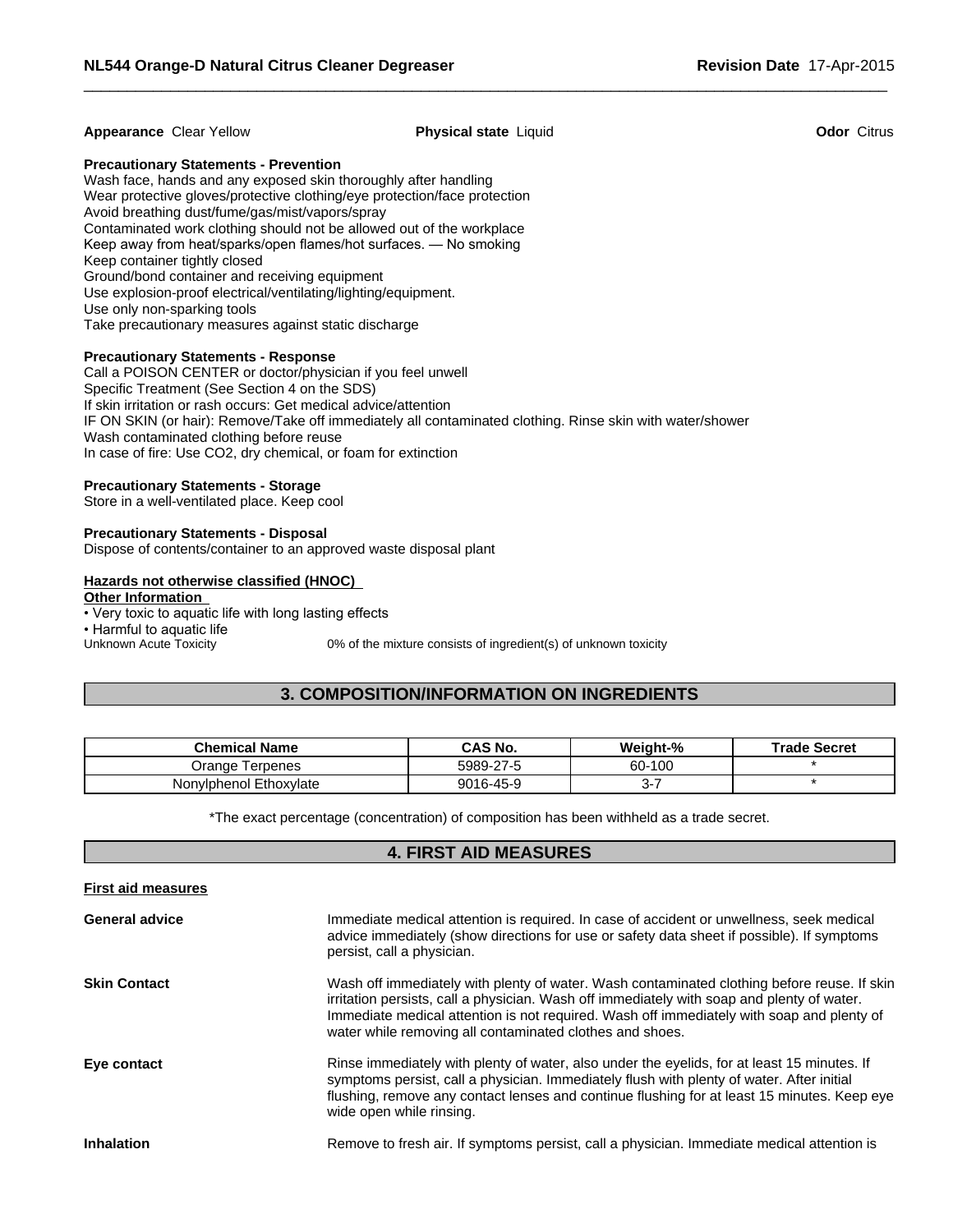### **Appearance** Clear Yellow **Physical state** Liquid **Odor** Citrus

 $\overline{\phantom{a}}$  ,  $\overline{\phantom{a}}$  ,  $\overline{\phantom{a}}$  ,  $\overline{\phantom{a}}$  ,  $\overline{\phantom{a}}$  ,  $\overline{\phantom{a}}$  ,  $\overline{\phantom{a}}$  ,  $\overline{\phantom{a}}$  ,  $\overline{\phantom{a}}$  ,  $\overline{\phantom{a}}$  ,  $\overline{\phantom{a}}$  ,  $\overline{\phantom{a}}$  ,  $\overline{\phantom{a}}$  ,  $\overline{\phantom{a}}$  ,  $\overline{\phantom{a}}$  ,  $\overline{\phantom{a}}$ 

#### **Precautionary Statements - Prevention**

Wash face, hands and any exposed skin thoroughly after handling Wear protective gloves/protective clothing/eye protection/face protection Avoid breathing dust/fume/gas/mist/vapors/spray Contaminated work clothing should not be allowed out of the workplace Keep away from heat/sparks/open flames/hot surfaces. — No smoking Keep container tightly closed Ground/bond container and receiving equipment Use explosion-proof electrical/ventilating/lighting/equipment. Use only non-sparking tools Take precautionary measures against static discharge

### **Precautionary Statements - Response**

Call a POISON CENTER or doctor/physician if you feel unwell Specific Treatment (See Section 4 on the SDS) If skin irritation or rash occurs: Get medical advice/attention IF ON SKIN (or hair): Remove/Take off immediately all contaminated clothing. Rinse skin with water/shower Wash contaminated clothing before reuse In case of fire: Use CO2, dry chemical, or foam for extinction

### **Precautionary Statements - Storage**

Store in a well-ventilated place. Keep cool

### **Precautionary Statements - Disposal**

Dispose of contents/container to an approved waste disposal plant

### **Hazards not otherwise classified (HNOC)**

### **Other Information**

• Very toxic to aquatic life with long lasting effects • Harmful to aquatic life Unknown Acute Toxicity 0% of the mixture consists of ingredient(s) of unknown toxicity

### **3. COMPOSITION/INFORMATION ON INGREDIENTS**

| Chemical Name          | CAS No.   | Weight-% | <b>Trade Secret</b> |
|------------------------|-----------|----------|---------------------|
| l erpenes<br>Orange    | 5989-27-5 | 60-100   |                     |
| Nonylphenol Ethoxylate | 9016-45-9 | ີ        |                     |

\*The exact percentage (concentration) of composition has been withheld as a trade secret.

### **4. FIRST AID MEASURES**

| <b>First aid measures</b> |                                                                                                                                                                                                                                                                                                                                                    |
|---------------------------|----------------------------------------------------------------------------------------------------------------------------------------------------------------------------------------------------------------------------------------------------------------------------------------------------------------------------------------------------|
| <b>General advice</b>     | Immediate medical attention is required. In case of accident or unwellness, seek medical<br>advice immediately (show directions for use or safety data sheet if possible). If symptoms<br>persist, call a physician.                                                                                                                               |
| <b>Skin Contact</b>       | Wash off immediately with plenty of water. Wash contaminated clothing before reuse. If skin<br>irritation persists, call a physician. Wash off immediately with soap and plenty of water.<br>Immediate medical attention is not required. Wash off immediately with soap and plenty of<br>water while removing all contaminated clothes and shoes. |
| Eye contact               | Rinse immediately with plenty of water, also under the eyelids, for at least 15 minutes. If<br>symptoms persist, call a physician. Immediately flush with plenty of water. After initial<br>flushing, remove any contact lenses and continue flushing for at least 15 minutes. Keep eye<br>wide open while rinsing.                                |
| <b>Inhalation</b>         | Remove to fresh air. If symptoms persist, call a physician. Immediate medical attention is                                                                                                                                                                                                                                                         |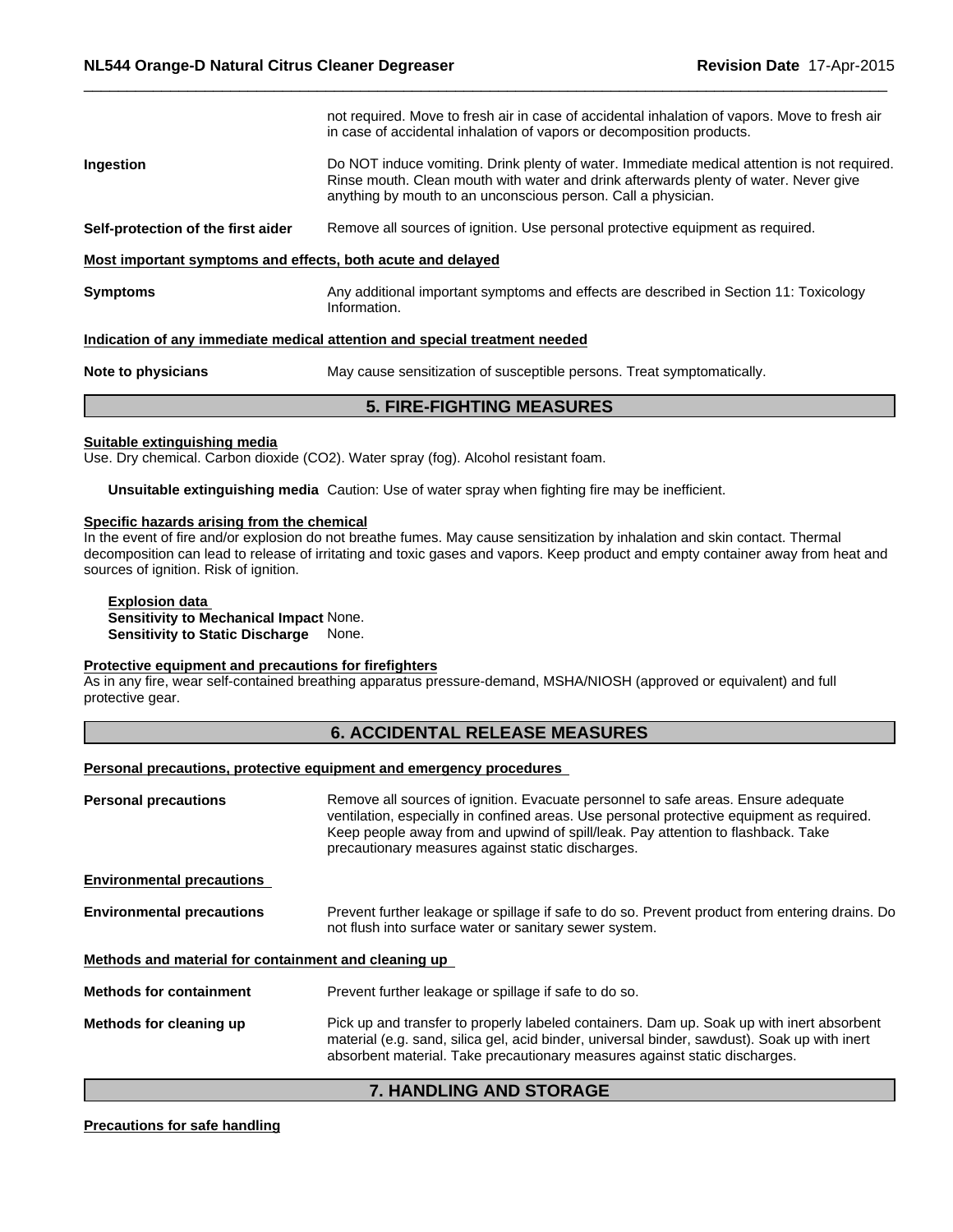|                                                             | <b>5. FIRE-FIGHTING MEASURES</b>                                                                                                                                                                                                                     |
|-------------------------------------------------------------|------------------------------------------------------------------------------------------------------------------------------------------------------------------------------------------------------------------------------------------------------|
| Note to physicians                                          | May cause sensitization of susceptible persons. Treat symptomatically.                                                                                                                                                                               |
|                                                             | Indication of any immediate medical attention and special treatment needed                                                                                                                                                                           |
| <b>Symptoms</b>                                             | Any additional important symptoms and effects are described in Section 11: Toxicology<br>Information.                                                                                                                                                |
| Most important symptoms and effects, both acute and delayed |                                                                                                                                                                                                                                                      |
| Self-protection of the first aider                          | Remove all sources of ignition. Use personal protective equipment as required.                                                                                                                                                                       |
| Ingestion                                                   | Do NOT induce vomiting. Drink plenty of water. Immediate medical attention is not required.<br>Rinse mouth. Clean mouth with water and drink afterwards plenty of water. Never give<br>anything by mouth to an unconscious person. Call a physician. |
|                                                             | not required. Move to fresh air in case of accidental inhalation of vapors. Move to fresh air<br>in case of accidental inhalation of vapors or decomposition products.                                                                               |
|                                                             |                                                                                                                                                                                                                                                      |

 $\overline{\phantom{a}}$  ,  $\overline{\phantom{a}}$  ,  $\overline{\phantom{a}}$  ,  $\overline{\phantom{a}}$  ,  $\overline{\phantom{a}}$  ,  $\overline{\phantom{a}}$  ,  $\overline{\phantom{a}}$  ,  $\overline{\phantom{a}}$  ,  $\overline{\phantom{a}}$  ,  $\overline{\phantom{a}}$  ,  $\overline{\phantom{a}}$  ,  $\overline{\phantom{a}}$  ,  $\overline{\phantom{a}}$  ,  $\overline{\phantom{a}}$  ,  $\overline{\phantom{a}}$  ,  $\overline{\phantom{a}}$ 

#### **Suitable extinguishing media**

Use. Dry chemical. Carbon dioxide (CO2). Water spray (fog). Alcohol resistant foam.

**Unsuitable extinguishing media** Caution: Use of water spray when fighting fire may be inefficient.

#### **Specific hazards arising from the chemical**

In the event of fire and/or explosion do not breathe fumes. May cause sensitization by inhalation and skin contact. Thermal decomposition can lead to release of irritating and toxic gases and vapors. Keep product and empty container away from heat and sources of ignition. Risk of ignition.

### **Explosion data**

**Sensitivity to Mechanical Impact** None. **Sensitivity to Static Discharge** None.

### **Protective equipment and precautions for firefighters**

As in any fire, wear self-contained breathing apparatus pressure-demand, MSHA/NIOSH (approved or equivalent) and full protective gear.

### **6. ACCIDENTAL RELEASE MEASURES**

**Personal precautions, protective equipment and emergency procedures** 

| <b>Personal precautions</b>                          | Remove all sources of ignition. Evacuate personnel to safe areas. Ensure adequate<br>ventilation, especially in confined areas. Use personal protective equipment as required.<br>Keep people away from and upwind of spill/leak. Pay attention to flashback. Take<br>precautionary measures against static discharges. |
|------------------------------------------------------|-------------------------------------------------------------------------------------------------------------------------------------------------------------------------------------------------------------------------------------------------------------------------------------------------------------------------|
| <b>Environmental precautions</b>                     |                                                                                                                                                                                                                                                                                                                         |
| <b>Environmental precautions</b>                     | Prevent further leakage or spillage if safe to do so. Prevent product from entering drains. Do<br>not flush into surface water or sanitary sewer system.                                                                                                                                                                |
| Methods and material for containment and cleaning up |                                                                                                                                                                                                                                                                                                                         |
| <b>Methods for containment</b>                       | Prevent further leakage or spillage if safe to do so.                                                                                                                                                                                                                                                                   |
| Methods for cleaning up                              | Pick up and transfer to properly labeled containers. Dam up. Soak up with inert absorbent<br>material (e.g. sand, silica gel, acid binder, universal binder, sawdust). Soak up with inert<br>absorbent material. Take precautionary measures against static discharges.                                                 |

### **7. HANDLING AND STORAGE**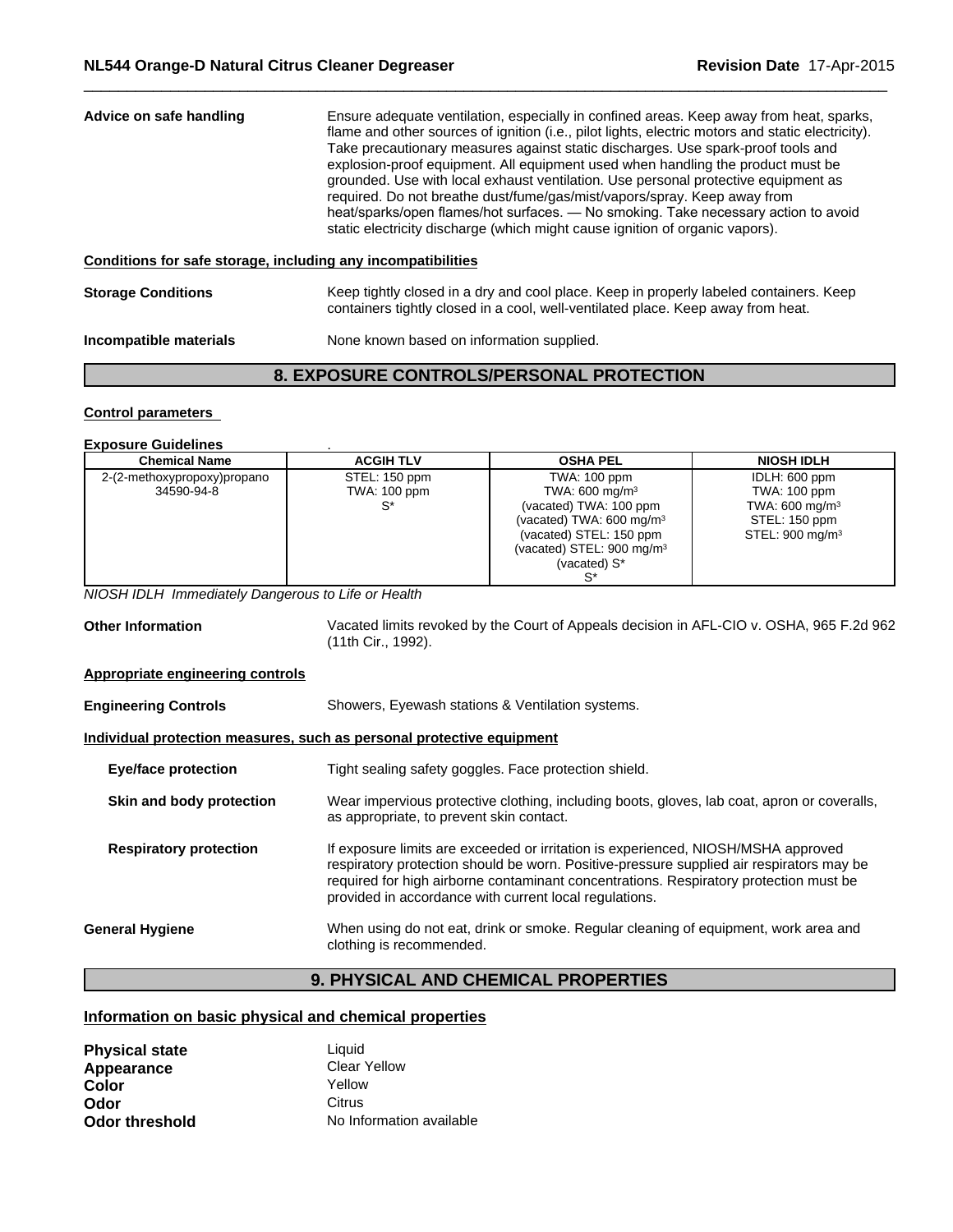| Advice on safe handling                                      | Ensure adequate ventilation, especially in confined areas. Keep away from heat, sparks,<br>flame and other sources of ignition (i.e., pilot lights, electric motors and static electricity).<br>Take precautionary measures against static discharges. Use spark-proof tools and<br>explosion-proof equipment. All equipment used when handling the product must be<br>grounded. Use with local exhaust ventilation. Use personal protective equipment as<br>required. Do not breathe dust/fume/gas/mist/vapors/spray. Keep away from<br>heat/sparks/open flames/hot surfaces. — No smoking. Take necessary action to avoid<br>static electricity discharge (which might cause ignition of organic vapors). |
|--------------------------------------------------------------|-------------------------------------------------------------------------------------------------------------------------------------------------------------------------------------------------------------------------------------------------------------------------------------------------------------------------------------------------------------------------------------------------------------------------------------------------------------------------------------------------------------------------------------------------------------------------------------------------------------------------------------------------------------------------------------------------------------|
| Conditions for safe storage, including any incompatibilities |                                                                                                                                                                                                                                                                                                                                                                                                                                                                                                                                                                                                                                                                                                             |
| <b>Storage Conditions</b>                                    | Keep tightly closed in a dry and cool place. Keep in properly labeled containers. Keep<br>containers tightly closed in a cool, well-ventilated place. Keep away from heat.                                                                                                                                                                                                                                                                                                                                                                                                                                                                                                                                  |
| Incompatible materials                                       | None known based on information supplied.                                                                                                                                                                                                                                                                                                                                                                                                                                                                                                                                                                                                                                                                   |

 $\overline{\phantom{a}}$  ,  $\overline{\phantom{a}}$  ,  $\overline{\phantom{a}}$  ,  $\overline{\phantom{a}}$  ,  $\overline{\phantom{a}}$  ,  $\overline{\phantom{a}}$  ,  $\overline{\phantom{a}}$  ,  $\overline{\phantom{a}}$  ,  $\overline{\phantom{a}}$  ,  $\overline{\phantom{a}}$  ,  $\overline{\phantom{a}}$  ,  $\overline{\phantom{a}}$  ,  $\overline{\phantom{a}}$  ,  $\overline{\phantom{a}}$  ,  $\overline{\phantom{a}}$  ,  $\overline{\phantom{a}}$ 

### **8. EXPOSURE CONTROLS/PERSONAL PROTECTION**

### **Control parameters**

### **Exposure Guidelines** .

| <b>Chemical Name</b>        | <b>ACGIH TLV</b> | <b>OSHA PEL</b>                       | <b>NIOSH IDLH</b>           |
|-----------------------------|------------------|---------------------------------------|-----------------------------|
| 2-(2-methoxypropoxy)propano | STEL: 150 ppm    | TWA: 100 ppm                          | IDLH: 600 ppm               |
| 34590-94-8                  | TWA: 100 ppm     | TWA: $600 \text{ mg/m}^3$             | TWA: 100 ppm                |
|                             | S*               | (vacated) TWA: 100 ppm                | TWA: 600 mg/m <sup>3</sup>  |
|                             |                  | (vacated) TWA: $600 \text{ mg/m}^3$   | STEL: 150 ppm               |
|                             |                  | (vacated) STEL: 150 ppm               | STEL: 900 mg/m <sup>3</sup> |
|                             |                  | (vacated) STEL: 900 mg/m <sup>3</sup> |                             |
|                             |                  | (vacated) S*                          |                             |
|                             |                  |                                       |                             |
|                             |                  |                                       |                             |

*NIOSH IDLH Immediately Dangerous to Life or Health*

**Other Information** Vacated limits revoked by the Court of Appeals decision in AFL-CIO v. OSHA, 965 F.2d 962 (11th Cir., 1992).

### **Appropriate engineering controls**

| <b>Engineering Controls</b>                                           | Showers, Eyewash stations & Ventilation systems.                                                                                                                                                                                                                                                                                 |  |  |
|-----------------------------------------------------------------------|----------------------------------------------------------------------------------------------------------------------------------------------------------------------------------------------------------------------------------------------------------------------------------------------------------------------------------|--|--|
| Individual protection measures, such as personal protective equipment |                                                                                                                                                                                                                                                                                                                                  |  |  |
| <b>Eye/face protection</b>                                            | Tight sealing safety goggles. Face protection shield.                                                                                                                                                                                                                                                                            |  |  |
| Skin and body protection                                              | Wear impervious protective clothing, including boots, gloves, lab coat, apron or coveralls,<br>as appropriate, to prevent skin contact.                                                                                                                                                                                          |  |  |
| <b>Respiratory protection</b>                                         | If exposure limits are exceeded or irritation is experienced, NIOSH/MSHA approved<br>respiratory protection should be worn. Positive-pressure supplied air respirators may be<br>required for high airborne contaminant concentrations. Respiratory protection must be<br>provided in accordance with current local regulations. |  |  |
| <b>General Hygiene</b>                                                | When using do not eat, drink or smoke. Regular cleaning of equipment, work area and<br>clothing is recommended.                                                                                                                                                                                                                  |  |  |
|                                                                       |                                                                                                                                                                                                                                                                                                                                  |  |  |

## **9. PHYSICAL AND CHEMICAL PROPERTIES**

### **Information on basic physical and chemical properties**

| <b>Physical state</b> | Liauid                   |  |
|-----------------------|--------------------------|--|
| Appearance            | Clear Yellow             |  |
| Color                 | Yellow                   |  |
| Odor                  | Citrus                   |  |
| <b>Odor threshold</b> | No Information available |  |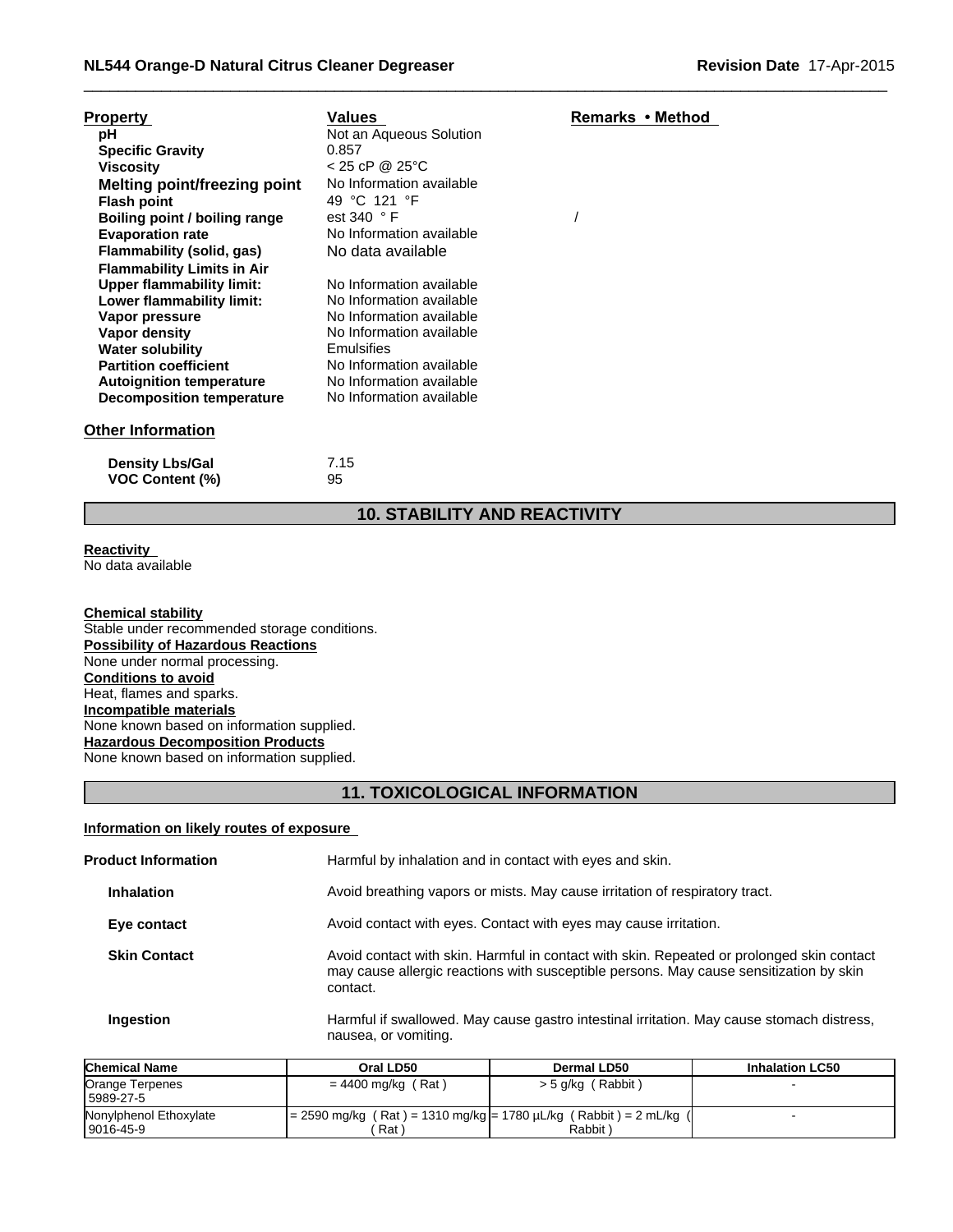| <b>Property</b>                     | Values                   | Remarks • Method |
|-------------------------------------|--------------------------|------------------|
| рH                                  | Not an Aqueous Solution  |                  |
| <b>Specific Gravity</b>             | 0.857                    |                  |
| <b>Viscosity</b>                    | $< 25$ cP @ 25 °C        |                  |
| <b>Melting point/freezing point</b> | No Information available |                  |
| <b>Flash point</b>                  | 49 °C 121 °F             |                  |
| Boiling point / boiling range       | est 340 °F               |                  |
| <b>Evaporation rate</b>             | No Information available |                  |
| Flammability (solid, gas)           | No data available        |                  |
| <b>Flammability Limits in Air</b>   |                          |                  |
| <b>Upper flammability limit:</b>    | No Information available |                  |
| Lower flammability limit:           | No Information available |                  |
| Vapor pressure                      | No Information available |                  |
| Vapor density                       | No Information available |                  |
| <b>Water solubility</b>             | <b>Emulsifies</b>        |                  |
| <b>Partition coefficient</b>        | No Information available |                  |
| <b>Autoignition temperature</b>     | No Information available |                  |
| <b>Decomposition temperature</b>    | No Information available |                  |
| <b>Other Information</b>            |                          |                  |
| <b>Density Lbs/Gal</b>              | 7.15                     |                  |
| <b>VOC Content (%)</b>              | 95                       |                  |

### **10. STABILITY AND REACTIVITY**

 $\overline{\phantom{a}}$  ,  $\overline{\phantom{a}}$  ,  $\overline{\phantom{a}}$  ,  $\overline{\phantom{a}}$  ,  $\overline{\phantom{a}}$  ,  $\overline{\phantom{a}}$  ,  $\overline{\phantom{a}}$  ,  $\overline{\phantom{a}}$  ,  $\overline{\phantom{a}}$  ,  $\overline{\phantom{a}}$  ,  $\overline{\phantom{a}}$  ,  $\overline{\phantom{a}}$  ,  $\overline{\phantom{a}}$  ,  $\overline{\phantom{a}}$  ,  $\overline{\phantom{a}}$  ,  $\overline{\phantom{a}}$ 

**Reactivity**  No data available

**Chemical stability** Stable under recommended storage conditions. **Possibility of Hazardous Reactions** None under normal processing. **Conditions to avoid** Heat, flames and sparks. **Incompatible materials** None known based on information supplied. **Hazardous Decomposition Products** None known based on information supplied.

### **11. TOXICOLOGICAL INFORMATION**

### **Information on likely routes of exposure**

| <b>Product Information</b> | Harmful by inhalation and in contact with eyes and skin.                                                                                                                                        |
|----------------------------|-------------------------------------------------------------------------------------------------------------------------------------------------------------------------------------------------|
| <b>Inhalation</b>          | Avoid breathing vapors or mists. May cause irritation of respiratory tract.                                                                                                                     |
| Eye contact                | Avoid contact with eyes. Contact with eyes may cause irritation.                                                                                                                                |
| <b>Skin Contact</b>        | Avoid contact with skin. Harmful in contact with skin. Repeated or prolonged skin contact<br>may cause allergic reactions with susceptible persons. May cause sensitization by skin<br>contact. |
| Ingestion                  | Harmful if swallowed. May cause gastro intestinal irritation. May cause stomach distress,<br>nausea, or vomiting.                                                                               |

| <b>Chemical Name</b>                | Oral LD50                                                                     | Dermal LD50         | <b>Inhalation LC50</b> |
|-------------------------------------|-------------------------------------------------------------------------------|---------------------|------------------------|
| Orange Terpenes<br>5989-27-5        | = 4400 mg/kg (Rat)                                                            | $>$ 5 g/kg (Rabbit) |                        |
| Nonylphenol Ethoxylate<br>9016-45-9 | = 2590 mg/kg ( Rat ) = 1310 mg/kg = 1780 µL/kg ( Rabbit ) = 2 mL/kg (<br>Rat) | Rabbit)             |                        |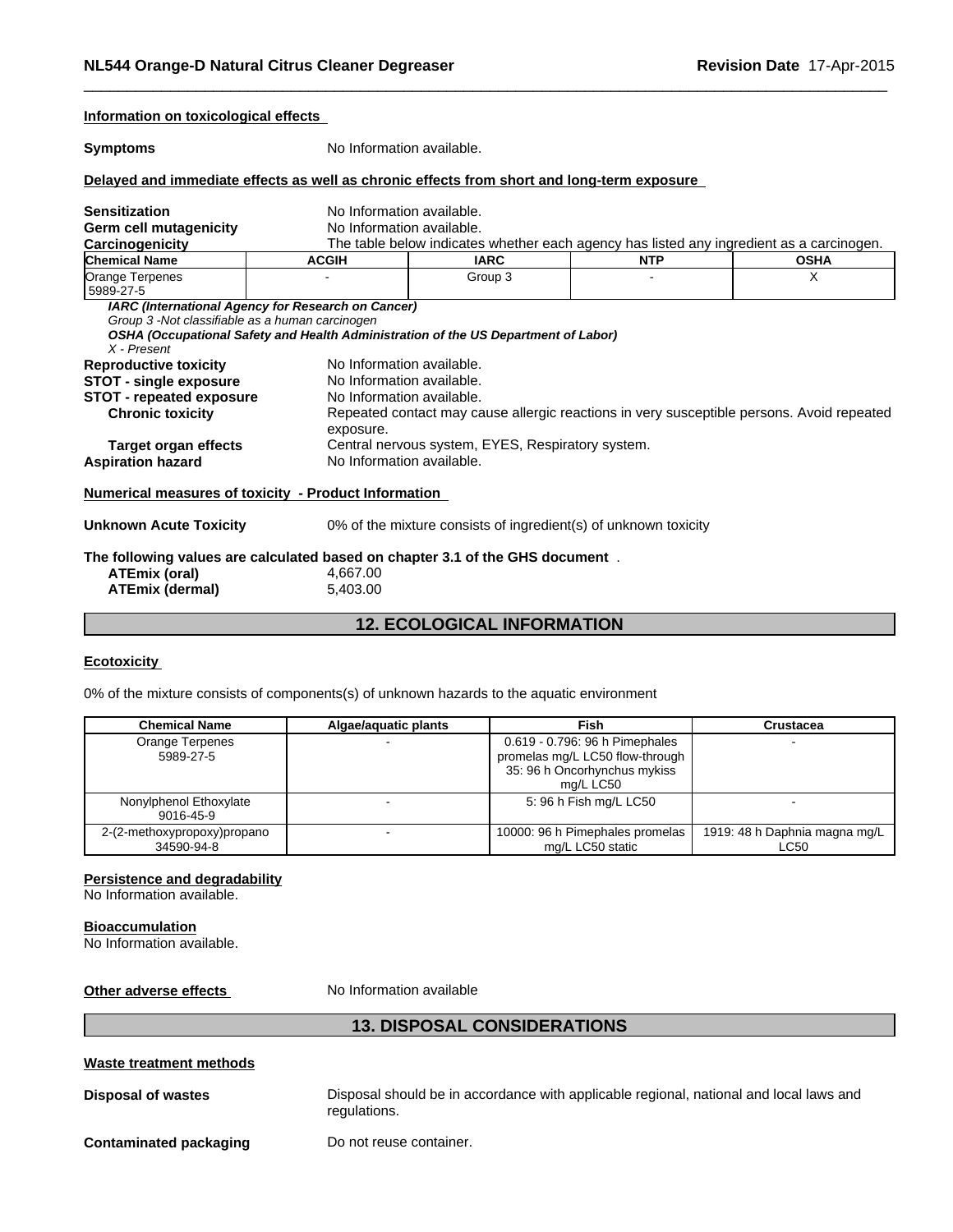| No Information available.<br><b>Symptoms</b><br>Delayed and immediate effects as well as chronic effects from short and long-term exposure<br>No Information available.<br><b>Sensitization</b><br>Germ cell mutagenicity<br>No Information available.<br>The table below indicates whether each agency has listed any ingredient as a carcinogen.<br>Carcinogenicity<br><b>Chemical Name</b><br><b>ACGIH</b><br><b>IARC</b><br><b>NTP</b><br>X<br>Orange Terpenes<br>Group 3<br>5989-27-5<br>IARC (International Agency for Research on Cancer)<br>Group 3 -Not classifiable as a human carcinogen<br>OSHA (Occupational Safety and Health Administration of the US Department of Labor)<br>X - Present<br><b>Reproductive toxicity</b><br>No Information available.<br>No Information available.<br><b>STOT - single exposure</b><br><b>STOT - repeated exposure</b><br>No Information available.<br>Repeated contact may cause allergic reactions in very susceptible persons. Avoid repeated<br><b>Chronic toxicity</b><br>exposure.<br>Central nervous system, EYES, Respiratory system.<br>Target organ effects<br>No Information available.<br><b>Aspiration hazard</b><br>Numerical measures of toxicity - Product Information<br>0% of the mixture consists of ingredient(s) of unknown toxicity<br><b>Unknown Acute Toxicity</b><br>The following values are calculated based on chapter 3.1 of the GHS document. | Information on toxicological effects |  |             |
|-----------------------------------------------------------------------------------------------------------------------------------------------------------------------------------------------------------------------------------------------------------------------------------------------------------------------------------------------------------------------------------------------------------------------------------------------------------------------------------------------------------------------------------------------------------------------------------------------------------------------------------------------------------------------------------------------------------------------------------------------------------------------------------------------------------------------------------------------------------------------------------------------------------------------------------------------------------------------------------------------------------------------------------------------------------------------------------------------------------------------------------------------------------------------------------------------------------------------------------------------------------------------------------------------------------------------------------------------------------------------------------------------------------------------------|--------------------------------------|--|-------------|
|                                                                                                                                                                                                                                                                                                                                                                                                                                                                                                                                                                                                                                                                                                                                                                                                                                                                                                                                                                                                                                                                                                                                                                                                                                                                                                                                                                                                                             |                                      |  |             |
|                                                                                                                                                                                                                                                                                                                                                                                                                                                                                                                                                                                                                                                                                                                                                                                                                                                                                                                                                                                                                                                                                                                                                                                                                                                                                                                                                                                                                             |                                      |  |             |
|                                                                                                                                                                                                                                                                                                                                                                                                                                                                                                                                                                                                                                                                                                                                                                                                                                                                                                                                                                                                                                                                                                                                                                                                                                                                                                                                                                                                                             |                                      |  |             |
|                                                                                                                                                                                                                                                                                                                                                                                                                                                                                                                                                                                                                                                                                                                                                                                                                                                                                                                                                                                                                                                                                                                                                                                                                                                                                                                                                                                                                             |                                      |  |             |
|                                                                                                                                                                                                                                                                                                                                                                                                                                                                                                                                                                                                                                                                                                                                                                                                                                                                                                                                                                                                                                                                                                                                                                                                                                                                                                                                                                                                                             |                                      |  |             |
|                                                                                                                                                                                                                                                                                                                                                                                                                                                                                                                                                                                                                                                                                                                                                                                                                                                                                                                                                                                                                                                                                                                                                                                                                                                                                                                                                                                                                             |                                      |  | <b>OSHA</b> |
|                                                                                                                                                                                                                                                                                                                                                                                                                                                                                                                                                                                                                                                                                                                                                                                                                                                                                                                                                                                                                                                                                                                                                                                                                                                                                                                                                                                                                             |                                      |  |             |
|                                                                                                                                                                                                                                                                                                                                                                                                                                                                                                                                                                                                                                                                                                                                                                                                                                                                                                                                                                                                                                                                                                                                                                                                                                                                                                                                                                                                                             |                                      |  |             |
|                                                                                                                                                                                                                                                                                                                                                                                                                                                                                                                                                                                                                                                                                                                                                                                                                                                                                                                                                                                                                                                                                                                                                                                                                                                                                                                                                                                                                             |                                      |  |             |
|                                                                                                                                                                                                                                                                                                                                                                                                                                                                                                                                                                                                                                                                                                                                                                                                                                                                                                                                                                                                                                                                                                                                                                                                                                                                                                                                                                                                                             |                                      |  |             |
|                                                                                                                                                                                                                                                                                                                                                                                                                                                                                                                                                                                                                                                                                                                                                                                                                                                                                                                                                                                                                                                                                                                                                                                                                                                                                                                                                                                                                             |                                      |  |             |
|                                                                                                                                                                                                                                                                                                                                                                                                                                                                                                                                                                                                                                                                                                                                                                                                                                                                                                                                                                                                                                                                                                                                                                                                                                                                                                                                                                                                                             |                                      |  |             |
|                                                                                                                                                                                                                                                                                                                                                                                                                                                                                                                                                                                                                                                                                                                                                                                                                                                                                                                                                                                                                                                                                                                                                                                                                                                                                                                                                                                                                             |                                      |  |             |
|                                                                                                                                                                                                                                                                                                                                                                                                                                                                                                                                                                                                                                                                                                                                                                                                                                                                                                                                                                                                                                                                                                                                                                                                                                                                                                                                                                                                                             |                                      |  |             |
|                                                                                                                                                                                                                                                                                                                                                                                                                                                                                                                                                                                                                                                                                                                                                                                                                                                                                                                                                                                                                                                                                                                                                                                                                                                                                                                                                                                                                             |                                      |  |             |
|                                                                                                                                                                                                                                                                                                                                                                                                                                                                                                                                                                                                                                                                                                                                                                                                                                                                                                                                                                                                                                                                                                                                                                                                                                                                                                                                                                                                                             |                                      |  |             |
| <b>ATEmix (oral)</b><br>4,667.00<br><b>ATEmix (dermal)</b><br>5,403.00                                                                                                                                                                                                                                                                                                                                                                                                                                                                                                                                                                                                                                                                                                                                                                                                                                                                                                                                                                                                                                                                                                                                                                                                                                                                                                                                                      |                                      |  |             |

 $\overline{\phantom{a}}$  ,  $\overline{\phantom{a}}$  ,  $\overline{\phantom{a}}$  ,  $\overline{\phantom{a}}$  ,  $\overline{\phantom{a}}$  ,  $\overline{\phantom{a}}$  ,  $\overline{\phantom{a}}$  ,  $\overline{\phantom{a}}$  ,  $\overline{\phantom{a}}$  ,  $\overline{\phantom{a}}$  ,  $\overline{\phantom{a}}$  ,  $\overline{\phantom{a}}$  ,  $\overline{\phantom{a}}$  ,  $\overline{\phantom{a}}$  ,  $\overline{\phantom{a}}$  ,  $\overline{\phantom{a}}$ 

### **12. ECOLOGICAL INFORMATION**

### **Ecotoxicity**

0% of the mixture consists of components(s) of unknown hazards to the aquatic environment

| <b>Chemical Name</b>                      | Algae/aquatic plants | <b>Fish</b>                                                                                                      | Crustacea                             |
|-------------------------------------------|----------------------|------------------------------------------------------------------------------------------------------------------|---------------------------------------|
| Orange Terpenes<br>5989-27-5              |                      | 0.619 - 0.796: 96 h Pimephales<br>promelas mg/L LC50 flow-through  <br>35: 96 h Oncorhynchus mykiss<br>mg/L LC50 |                                       |
| Nonylphenol Ethoxylate<br>9016-45-9       |                      | 5: 96 h Fish mg/L LC50                                                                                           |                                       |
| 2-(2-methoxypropoxy)propano<br>34590-94-8 |                      | 10000: 96 h Pimephales promelas<br>mg/L LC50 static                                                              | 1919: 48 h Daphnia magna mg/L<br>LC50 |

### **Persistence and degradability**

No Information available.

#### **Bioaccumulation**

No Information available.

### **Other adverse effects** No Information available

### **13. DISPOSAL CONSIDERATIONS**

### **Waste treatment methods**

**Disposal of wastes Disposal should be in accordance with applicable regional, national and local laws and** regulations.

**Contaminated packaging Do not reuse container.**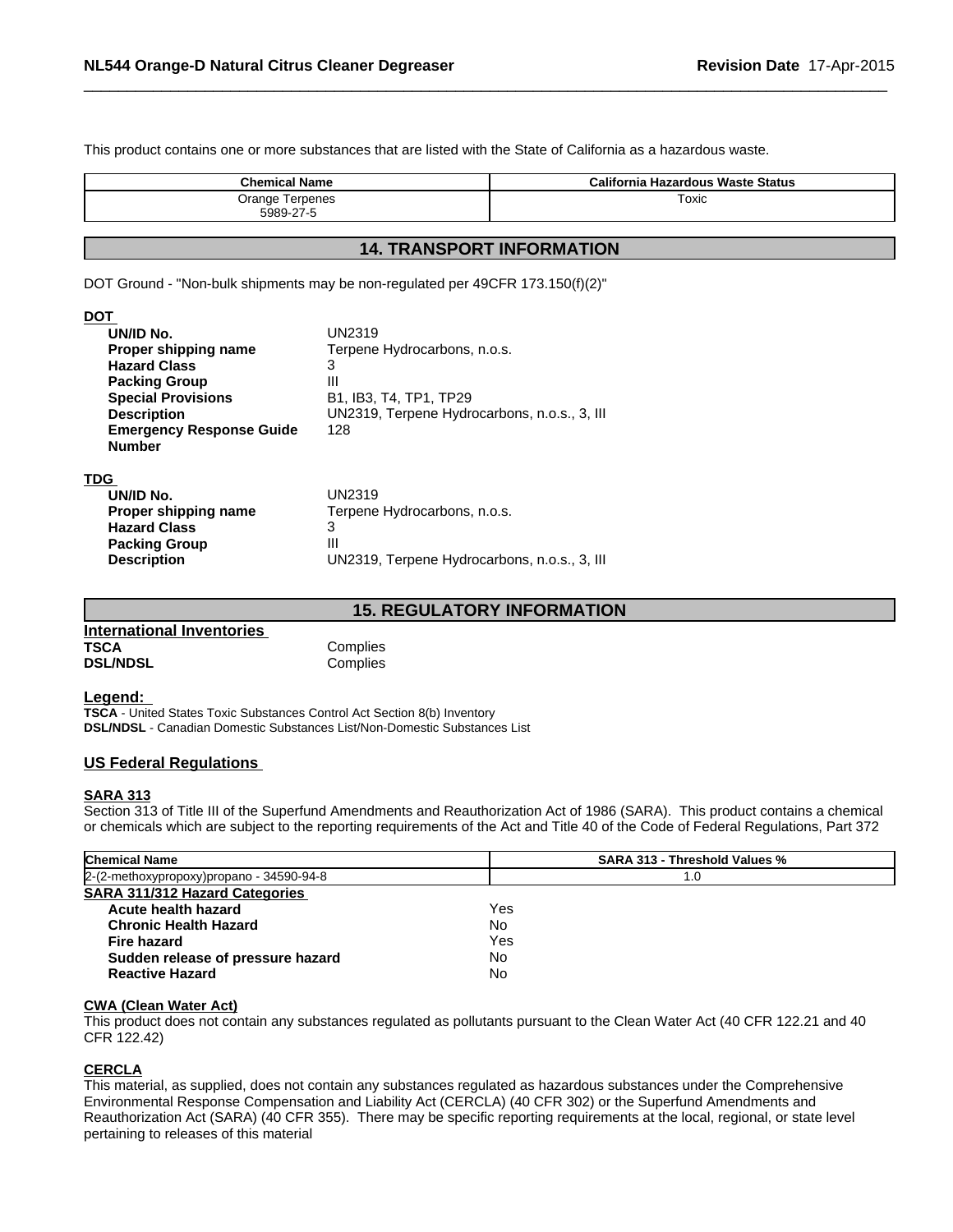This product contains one or more substances that are listed with the State of California as a hazardous waste.

| Toxic<br>Orange Terpenes | <b>Chemical Name</b> | California Hazardous Waste Status |
|--------------------------|----------------------|-----------------------------------|
|                          | 5989-27-5            |                                   |

 $\overline{\phantom{a}}$  ,  $\overline{\phantom{a}}$  ,  $\overline{\phantom{a}}$  ,  $\overline{\phantom{a}}$  ,  $\overline{\phantom{a}}$  ,  $\overline{\phantom{a}}$  ,  $\overline{\phantom{a}}$  ,  $\overline{\phantom{a}}$  ,  $\overline{\phantom{a}}$  ,  $\overline{\phantom{a}}$  ,  $\overline{\phantom{a}}$  ,  $\overline{\phantom{a}}$  ,  $\overline{\phantom{a}}$  ,  $\overline{\phantom{a}}$  ,  $\overline{\phantom{a}}$  ,  $\overline{\phantom{a}}$ 

### **14. TRANSPORT INFORMATION**

DOT Ground - "Non-bulk shipments may be non-regulated per 49CFR 173.150(f)(2)"

### **DOT**

| UN/ID No.            | UN2319                                       |
|----------------------|----------------------------------------------|
| Proper shipping name | Terpene Hydrocarbons, n.o.s.                 |
| <b>Hazard Class</b>  |                                              |
| <b>Packing Group</b> | Ш                                            |
| <b>Description</b>   | UN2319, Terpene Hydrocarbons, n.o.s., 3, III |
|                      |                                              |

### **15. REGULATORY INFORMATION**

| International Inventories |          |  |
|---------------------------|----------|--|
| <b>TSCA</b>               | Complies |  |
| <b>DSL/NDSL</b>           | Complies |  |

#### **Legend:**

**TSCA** - United States Toxic Substances Control Act Section 8(b) Inventory **DSL/NDSL** - Canadian Domestic Substances List/Non-Domestic Substances List

### **US Federal Regulations**

### **SARA 313**

Section 313 of Title III of the Superfund Amendments and Reauthorization Act of 1986 (SARA). This product contains a chemical or chemicals which are subject to the reporting requirements of the Act and Title 40 of the Code of Federal Regulations, Part 372

| <b>Chemical Name</b>                       | <b>SARA 313 - Threshold Values %</b> |  |
|--------------------------------------------|--------------------------------------|--|
| $2-(2-methoxypropoxy)propano - 34590-94-8$ | 1.0                                  |  |
| <b>SARA 311/312 Hazard Categories</b>      |                                      |  |
| Acute health hazard                        | Yes                                  |  |
| <b>Chronic Health Hazard</b>               | No                                   |  |
| Fire hazard                                | Yes                                  |  |
| Sudden release of pressure hazard          | No                                   |  |
| <b>Reactive Hazard</b>                     | No                                   |  |

### **CWA (Clean Water Act)**

This product does not contain any substances regulated as pollutants pursuant to the Clean Water Act (40 CFR 122.21 and 40 CFR 122.42)

### **CERCLA**

This material, as supplied, does not contain any substances regulated as hazardous substances under the Comprehensive Environmental Response Compensation and Liability Act (CERCLA) (40 CFR 302) or the Superfund Amendments and Reauthorization Act (SARA) (40 CFR 355). There may be specific reporting requirements at the local, regional, or state level pertaining to releases of this material